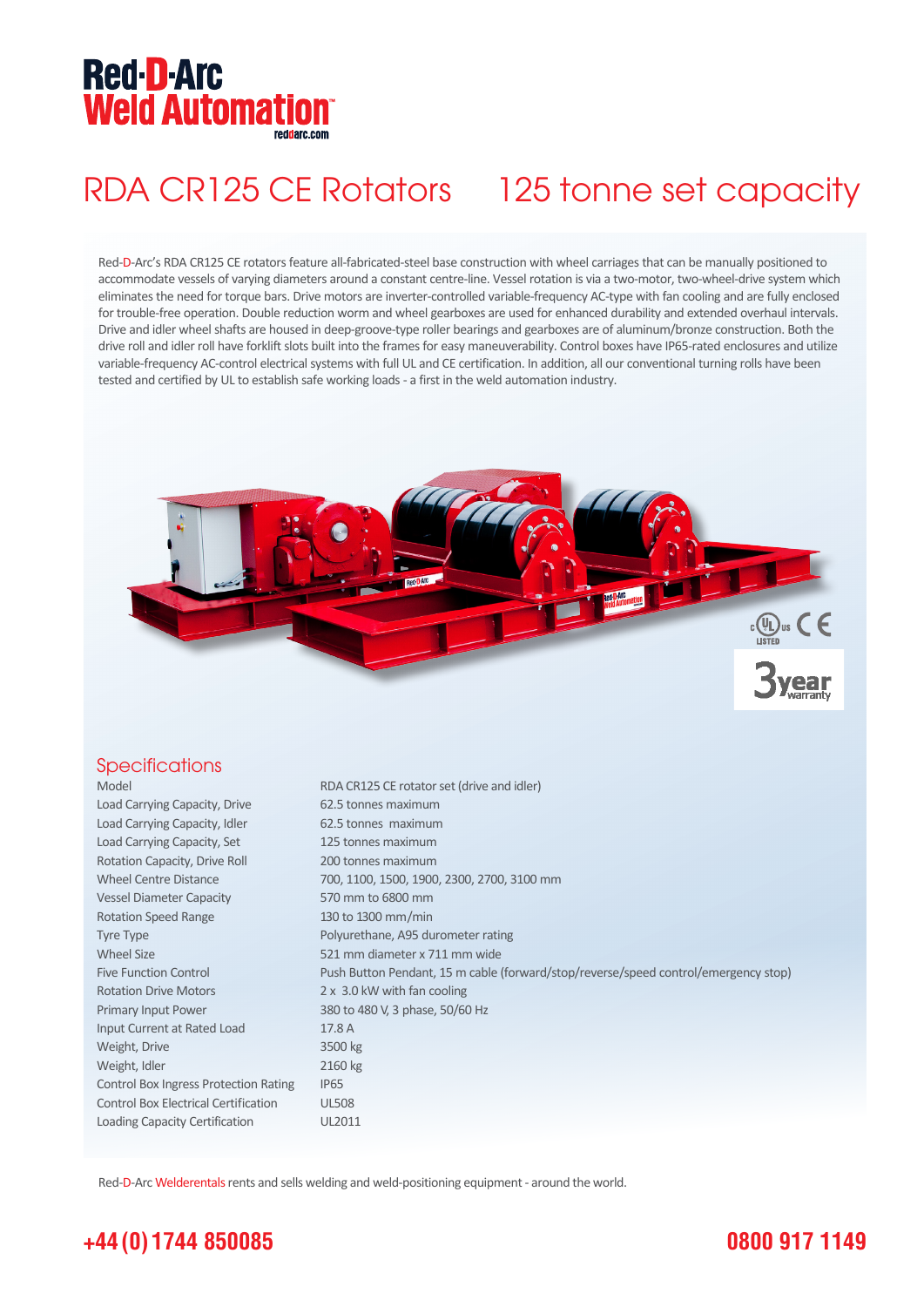## **Red-D-Arc Weld Automation®**

## RDA CR125 CE Rotators 125 tonne set capacity

Red-D-Arc's RDA CR125 CE rotators feature all-fabricated-steel base construction with wheel carriages that can be manually positioned to accommodate vessels of varying diameters around a constant centre-line. Vessel rotation is via a two-motor, two-wheel-drive system which eliminates the need for torque bars. Drive motors are inverter-controlled variable-frequency AC-type with fan cooling and are fully enclosed for trouble-free operation. Double reduction worm and wheel gearboxes are used for enhanced durability and extended overhaul intervals. Drive and idler wheel shafts are housed in deep-groove-type roller bearings and gearboxes are of aluminum/bronze construction. Both the drive roll and idler roll have forklift slots built into the frames for easy maneuverability. Control boxes have IP65-rated enclosures and utilize variable-frequency AC-control electrical systems with full UL and CE certification. In addition, all our conventional turning rolls have been tested and certified by UL to establish safe working loads - a first in the weld automation industry.



#### **Specifications**

Model RDA CR125 CE rotator set (drive and idler) Load Carrying Capacity, Drive 62.5 tonnes maximum Load Carrying Capacity, Idler 62.5 tonnes maximum Load Carrying Capacity, Set 125 tonnes maximum Rotation Capacity, Drive Roll 200 tonnes maximum Wheel Centre Distance 700, 1100, 1500, 1900, 2300, 2700, 3100 mm Vessel Diameter Capacity 570 mm to 6800 mm Rotation Speed Range 130 to 1300 mm/min Tyre Type **Polyurethane**, A95 durometer rating Wheel Size 621 mm diameter x 711 mm wide Five Function Control Push Button Pendant, 15 m cable (forward/stop/reverse/speed control/emergency stop) Rotation Drive Motors 2 x 3.0 kW with fan cooling Primary Input Power 380 to 480 V, 3 phase, 50/60 Hz Input Current at Rated Load 17.8 A Weight, Drive 3500 kg Weight, Idler 2160 kg Control Box Ingress Protection Rating IP65 Control Box Electrical Certification UL508 Loading Capacity Certification UL2011

Red-D-Arc Welderentals rents and sells welding and weld-positioning equipment - around the world.

### **+44 (0) 1744 850085**

#### **0800 917 1149**